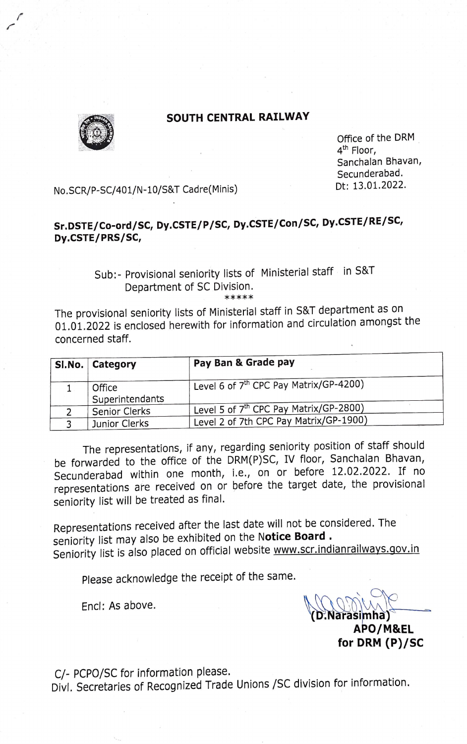

## SOUTH CENTRAL RAILWAY

Office of the DRM 4<sup>th</sup> Floor, Sanchalan Bhavan, Secunderabad.

Dt: 13.01.2022. No.SCR/P-SC/401/N-10/S&T Cadre(Minis)

## Sr.DSTE/Co-ord/SC, Dy.CSTE/P/SC, Dy.CSTE/Con/SC, Dy.CSTE/RE/SC, Dy.CSTE/PRS/SC,

## Sub:- Provisional seniority lists of Ministerial staff in S&T Department of SC Division.

\*\*\*\*\*

The provisional seniority lists of Ministerial staff in S&T department as on 01.01.2022 is enclosed herewith for information and circulation amongst the Concerned staff.

| SI.No. Category           | Pay Ban & Grade pay                                |
|---------------------------|----------------------------------------------------|
| Office<br>Superintendants | Level 6 of 7 <sup>th</sup> CPC Pay Matrix/GP-4200) |
| <b>Senior Clerks</b>      | Level 5 of 7 <sup>th</sup> CPC Pay Matrix/GP-2800) |
| Junior Clerks             | Level 2 of 7th CPC Pay Matrix/GP-1900)             |

The representations, if any, regarding seniority position of staff should be forwarded to the office of the DRM(P)SC, IV floor, Sanchalan Bhavan, Secunderabad within one month, i.e., on or before 12.02.2022. If no representations are received on or before the target date, the provisional seniority list will be treated as final.

Representations received after the last date will not be considered. The seniority list may also be exhibited on the Notice Board. Seniority list is also placed on official website www.scr.indianrailways.gov.in

Please acknowledge the receipt of the same.

Encl: As above.

(D.Narasimha) APO/M&EL

for DRM (P)/SC

C/- PCPO/SC for information please.

Divl. Secretaries of Recognized Trade Unions /SC division for information.